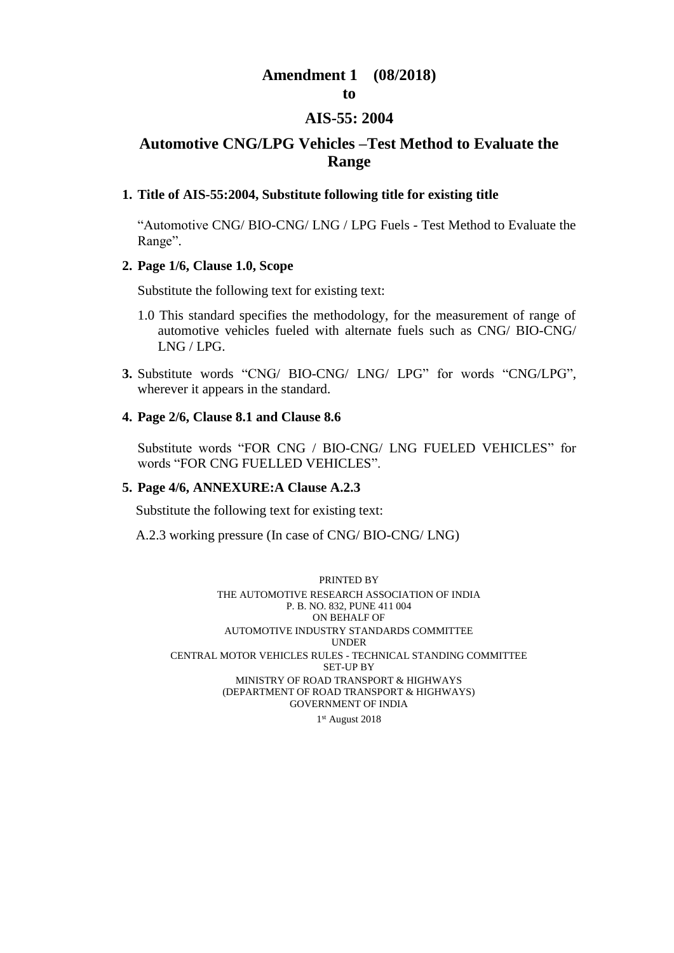# **Amendment 1 (08/2018)**

#### **to**

# **AIS-55: 2004**

# **Automotive CNG/LPG Vehicles –Test Method to Evaluate the Range**

#### **1. Title of AIS-55:2004, Substitute following title for existing title**

"Automotive CNG/ BIO-CNG/ LNG / LPG Fuels - Test Method to Evaluate the Range".

#### **2. Page 1/6, Clause 1.0, Scope**

Substitute the following text for existing text:

- 1.0 This standard specifies the methodology, for the measurement of range of automotive vehicles fueled with alternate fuels such as CNG/ BIO-CNG/ LNG / LPG.
- **3.** Substitute words "CNG/ BIO-CNG/ LNG/ LPG" for words "CNG/LPG", wherever it appears in the standard.

#### **4. Page 2/6, Clause 8.1 and Clause 8.6**

Substitute words "FOR CNG / BIO-CNG/ LNG FUELED VEHICLES" for words "FOR CNG FUELLED VEHICLES".

#### **5. Page 4/6, ANNEXURE:A Clause A.2.3**

Substitute the following text for existing text:

A.2.3 working pressure (In case of CNG/ BIO-CNG/ LNG)

PRINTED BY THE AUTOMOTIVE RESEARCH ASSOCIATION OF INDIA P. B. NO. 832, PUNE 411 004 ON BEHALF OF AUTOMOTIVE INDUSTRY STANDARDS COMMITTEE UNDER CENTRAL MOTOR VEHICLES RULES - TECHNICAL STANDING COMMITTEE SET-UP BY MINISTRY OF ROAD TRANSPORT & HIGHWAYS (DEPARTMENT OF ROAD TRANSPORT & HIGHWAYS) GOVERNMENT OF INDIA

1 st August 2018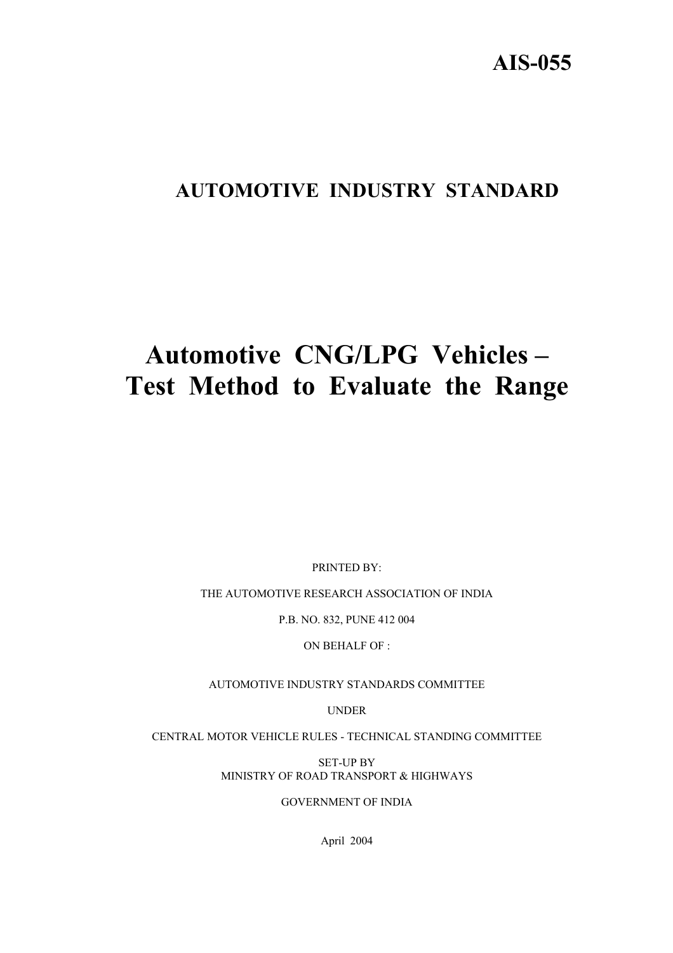# **AUTOMOTIVE INDUSTRY STANDARD**

# **Automotive CNG/LPG Vehicles – Test Method to Evaluate the Range**

PRINTED BY:

THE AUTOMOTIVE RESEARCH ASSOCIATION OF INDIA

P.B. NO. 832, PUNE 412 004

ON BEHALF OF :

AUTOMOTIVE INDUSTRY STANDARDS COMMITTEE

UNDER

CENTRAL MOTOR VEHICLE RULES - TECHNICAL STANDING COMMITTEE

SET-UP BY MINISTRY OF ROAD TRANSPORT & HIGHWAYS

GOVERNMENT OF INDIA

April 2004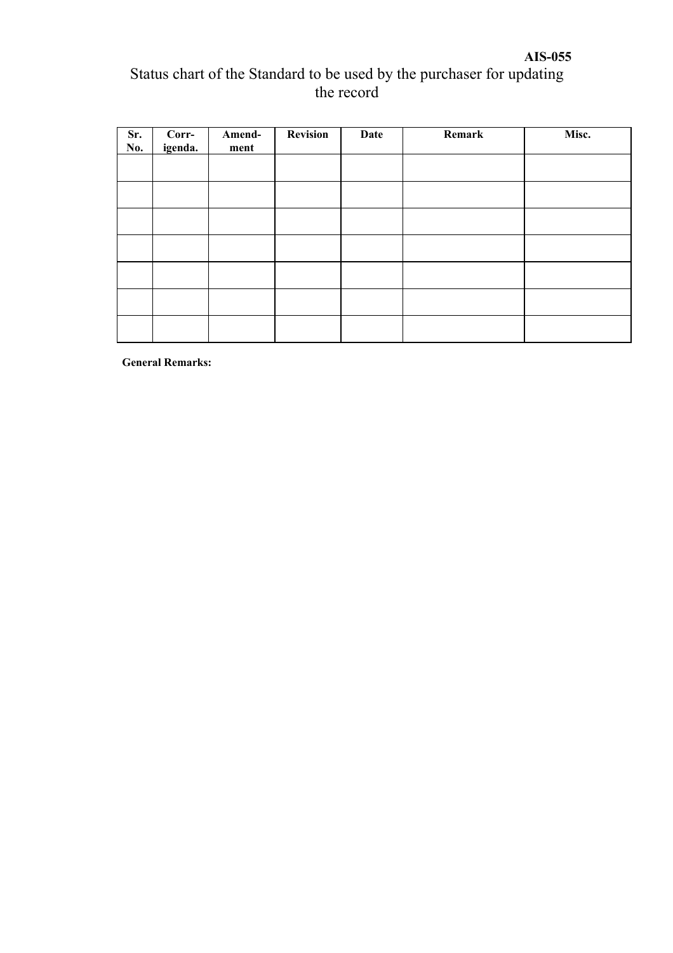# Status chart of the Standard to be used by the purchaser for updating the record

| Sr.<br>No. | Corr-<br>igenda. | Amend-<br>ment | <b>Revision</b> | Date | Remark | Misc. |
|------------|------------------|----------------|-----------------|------|--------|-------|
|            |                  |                |                 |      |        |       |
|            |                  |                |                 |      |        |       |
|            |                  |                |                 |      |        |       |
|            |                  |                |                 |      |        |       |
|            |                  |                |                 |      |        |       |
|            |                  |                |                 |      |        |       |
|            |                  |                |                 |      |        |       |

**General Remarks:**

# **AIS-055**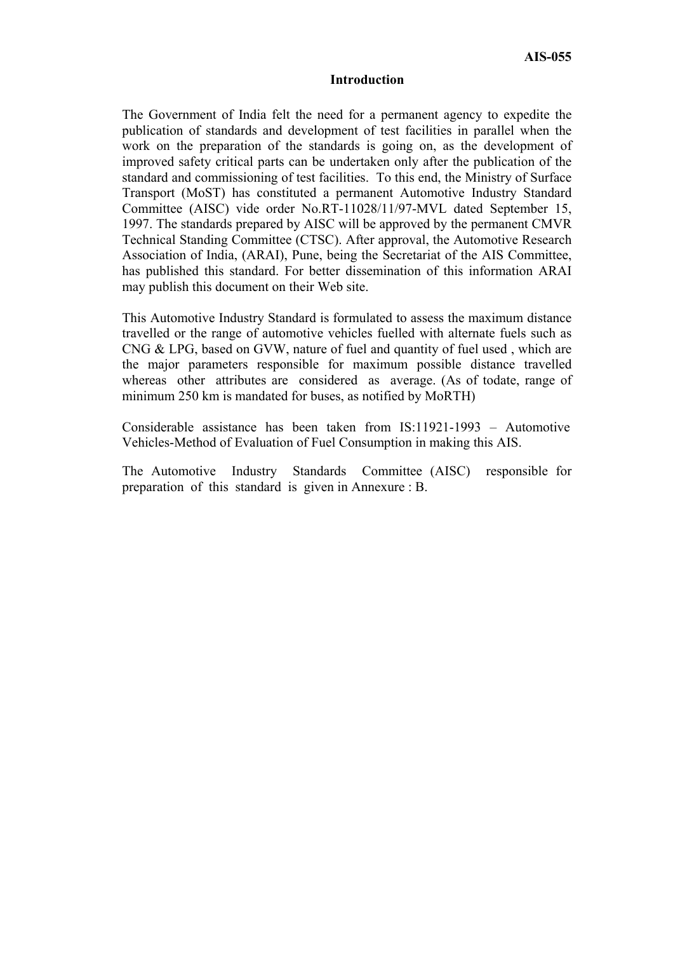#### **Introduction**

The Government of India felt the need for a permanent agency to expedite the publication of standards and development of test facilities in parallel when the work on the preparation of the standards is going on, as the development of improved safety critical parts can be undertaken only after the publication of the standard and commissioning of test facilities. To this end, the Ministry of Surface Transport (MoST) has constituted a permanent Automotive Industry Standard Committee (AISC) vide order No.RT-11028/11/97-MVL dated September 15, 1997. The standards prepared by AISC will be approved by the permanent CMVR Technical Standing Committee (CTSC). After approval, the Automotive Research Association of India, (ARAI), Pune, being the Secretariat of the AIS Committee, has published this standard. For better dissemination of this information ARAI may publish this document on their Web site.

This Automotive Industry Standard is formulated to assess the maximum distance travelled or the range of automotive vehicles fuelled with alternate fuels such as CNG & LPG, based on GVW, nature of fuel and quantity of fuel used , which are the major parameters responsible for maximum possible distance travelled whereas other attributes are considered as average. (As of todate, range of minimum 250 km is mandated for buses, as notified by MoRTH)

Considerable assistance has been taken from IS:11921-1993 – Automotive Vehicles-Method of Evaluation of Fuel Consumption in making this AIS.

The Automotive Industry Standards Committee (AISC) responsible for preparation of this standard is given in Annexure : B.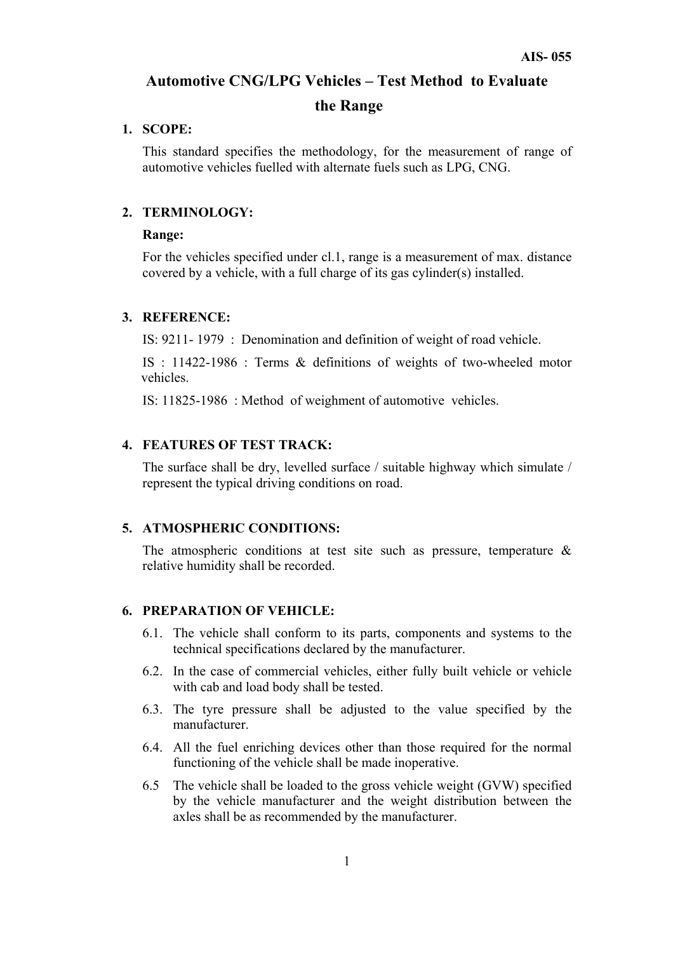# **Automotive CNG/LPG Vehicles – Test Method to Evaluate**

#### **the Range**

#### **1. SCOPE:**

This standard specifies the methodology, for the measurement of range of automotive vehicles fuelled with alternate fuels such as LPG, CNG.

#### **2. TERMINOLOGY:**

#### **Range:**

For the vehicles specified under cl.1, range is a measurement of max. distance covered by a vehicle, with a full charge of its gas cylinder(s) installed.

# **3. REFERENCE:**

IS: 9211- 1979 : Denomination and definition of weight of road vehicle.

IS : 11422-1986 : Terms & definitions of weights of two-wheeled motor vehicles.

IS: 11825-1986 : Method of weighment of automotive vehicles.

#### **4. FEATURES OF TEST TRACK:**

The surface shall be dry, levelled surface / suitable highway which simulate / represent the typical driving conditions on road.

#### **5. ATMOSPHERIC CONDITIONS:**

The atmospheric conditions at test site such as pressure, temperature  $\&$ relative humidity shall be recorded.

#### **6. PREPARATION OF VEHICLE:**

- 6.1. The vehicle shall conform to its parts, components and systems to the technical specifications declared by the manufacturer.
- 6.2. In the case of commercial vehicles, either fully built vehicle or vehicle with cab and load body shall be tested.
- 6.3. The tyre pressure shall be adjusted to the value specified by the manufacturer.
- 6.4. All the fuel enriching devices other than those required for the normal functioning of the vehicle shall be made inoperative.
- 6.5 The vehicle shall be loaded to the gross vehicle weight (GVW) specified by the vehicle manufacturer and the weight distribution between the axles shall be as recommended by the manufacturer.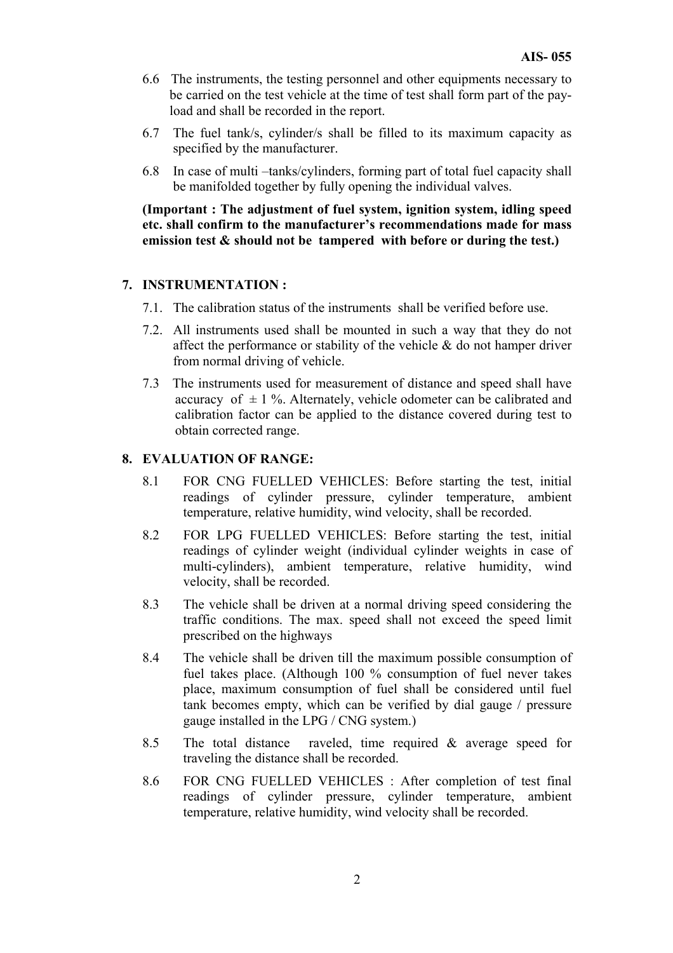- 6.6 The instruments, the testing personnel and other equipments necessary to be carried on the test vehicle at the time of test shall form part of the payload and shall be recorded in the report.
- 6.7 The fuel tank/s, cylinder/s shall be filled to its maximum capacity as specified by the manufacturer.
- 6.8 In case of multi –tanks/cylinders, forming part of total fuel capacity shall be manifolded together by fully opening the individual valves.

# **(Important : The adjustment of fuel system, ignition system, idling speed etc. shall confirm to the manufacturer's recommendations made for mass emission test & should not be tampered with before or during the test.)**

#### **7. INSTRUMENTATION :**

- 7.1. The calibration status of the instruments shall be verified before use.
- 7.2. All instruments used shall be mounted in such a way that they do not affect the performance or stability of the vehicle  $\&$  do not hamper driver from normal driving of vehicle.
- 7.3 The instruments used for measurement of distance and speed shall have accuracy of  $\pm$  1 %. Alternately, vehicle odometer can be calibrated and calibration factor can be applied to the distance covered during test to obtain corrected range.

## **8. EVALUATION OF RANGE:**

- 8.1 FOR CNG FUELLED VEHICLES: Before starting the test, initial readings of cylinder pressure, cylinder temperature, ambient temperature, relative humidity, wind velocity, shall be recorded.
- 8.2 FOR LPG FUELLED VEHICLES: Before starting the test, initial readings of cylinder weight (individual cylinder weights in case of multi-cylinders), ambient temperature, relative humidity, wind velocity, shall be recorded.
- 8.3 The vehicle shall be driven at a normal driving speed considering the traffic conditions. The max. speed shall not exceed the speed limit prescribed on the highways
- 8.4 The vehicle shall be driven till the maximum possible consumption of fuel takes place. (Although 100 % consumption of fuel never takes place, maximum consumption of fuel shall be considered until fuel tank becomes empty, which can be verified by dial gauge / pressure gauge installed in the LPG / CNG system.)
- 8.5 The total distance raveled, time required & average speed for traveling the distance shall be recorded.
- 8.6 FOR CNG FUELLED VEHICLES : After completion of test final readings of cylinder pressure, cylinder temperature, ambient temperature, relative humidity, wind velocity shall be recorded.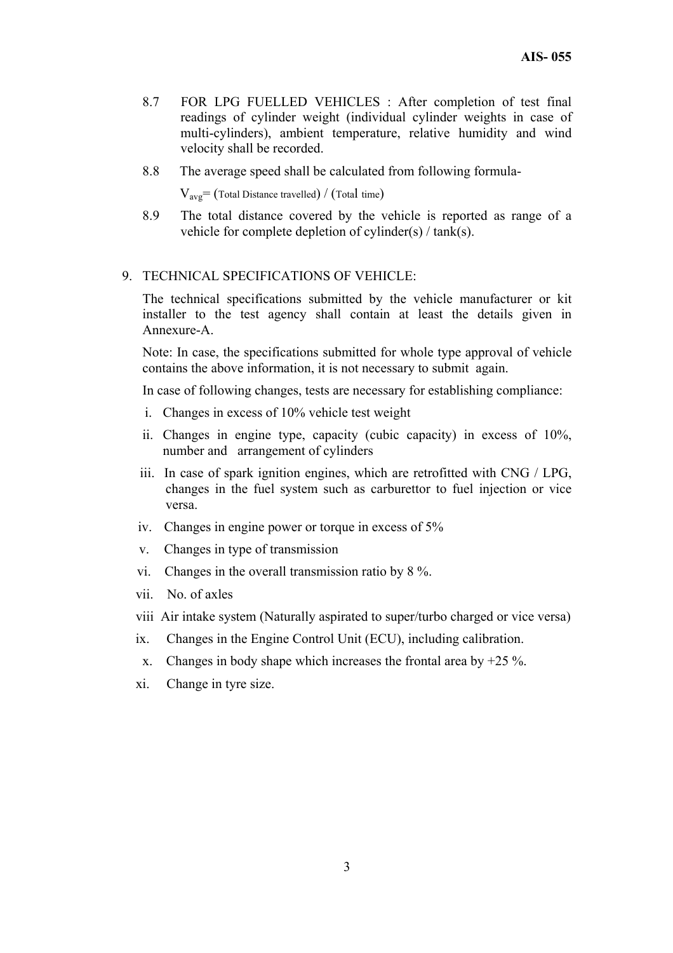- 8.7 FOR LPG FUELLED VEHICLES : After completion of test final readings of cylinder weight (individual cylinder weights in case of multi-cylinders), ambient temperature, relative humidity and wind velocity shall be recorded.
- 8.8 The average speed shall be calculated from following formula-

 $V_{\text{ave}}$  (Total Distance travelled) / (Total time)

8.9 The total distance covered by the vehicle is reported as range of a vehicle for complete depletion of cylinder(s) / tank(s).

#### 9. TECHNICAL SPECIFICATIONS OF VEHICLE:

The technical specifications submitted by the vehicle manufacturer or kit installer to the test agency shall contain at least the details given in Annexure-A.

Note: In case, the specifications submitted for whole type approval of vehicle contains the above information, it is not necessary to submit again.

In case of following changes, tests are necessary for establishing compliance:

- i. Changes in excess of 10% vehicle test weight
- ii. Changes in engine type, capacity (cubic capacity) in excess of 10%, number and arrangement of cylinders
- iii. In case of spark ignition engines, which are retrofitted with CNG / LPG, changes in the fuel system such as carburettor to fuel injection or vice versa.
- iv. Changes in engine power or torque in excess of 5%
- v. Changes in type of transmission
- vi. Changes in the overall transmission ratio by 8 %.
- vii. No. of axles
- viii Air intake system (Naturally aspirated to super/turbo charged or vice versa)
- ix. Changes in the Engine Control Unit (ECU), including calibration.
- x. Changes in body shape which increases the frontal area by  $+25\%$ .
- xi. Change in tyre size.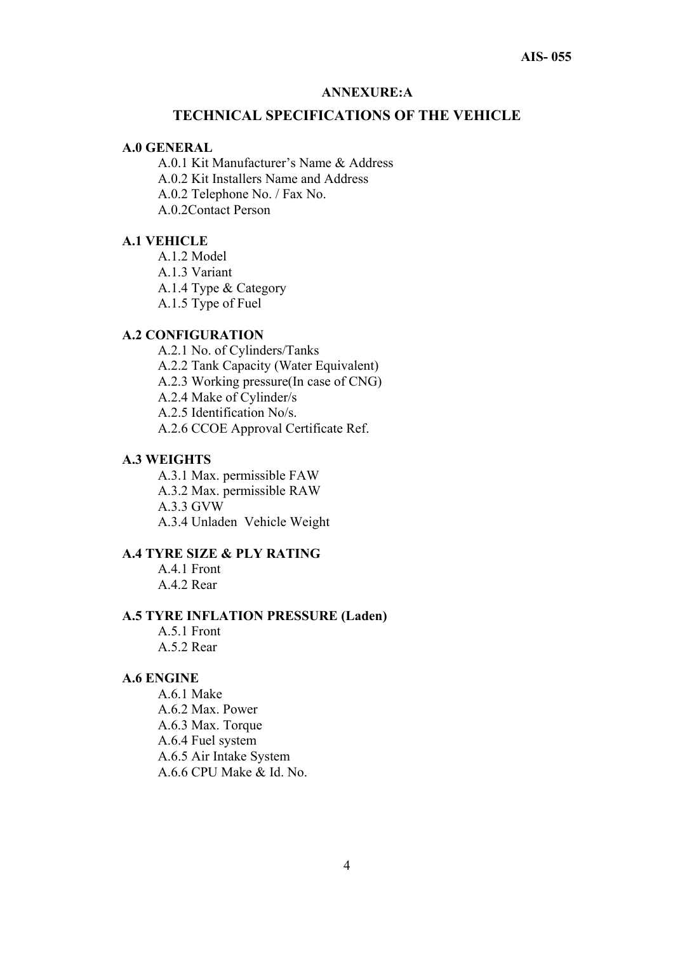#### **ANNEXURE:A**

#### **TECHNICAL SPECIFICATIONS OF THE VEHICLE**

#### **A.0 GENERAL**

- A.0.1 Kit Manufacturer's Name & Address
- A.0.2 Kit Installers Name and Address
- A.0.2 Telephone No. / Fax No.
- A.0.2Contact Person

#### **A.1 VEHICLE**

- A.1.2 Model
- A.1.3 Variant
- A.1.4 Type & Category
- A.1.5 Type of Fuel

# **A.2 CONFIGURATION**

- A.2.1 No. of Cylinders/Tanks
- A.2.2 Tank Capacity (Water Equivalent)
- A.2.3 Working pressure(In case of CNG)
- A.2.4 Make of Cylinder/s
- A.2.5 Identification No/s.
- A.2.6 CCOE Approval Certificate Ref.

#### **A.3 WEIGHTS**

- A.3.1 Max. permissible FAW
- A.3.2 Max. permissible RAW
- A.3.3 GVW
- A.3.4 Unladen Vehicle Weight

#### **A.4 TYRE SIZE & PLY RATING**

A.4.1 Front A.4.2 Rear

#### **A.5 TYRE INFLATION PRESSURE (Laden)**

- A.5.1 Front
- A.5.2 Rear

#### **A.6 ENGINE**

- A.6.1 Make
- A.6.2 Max. Power
- A.6.3 Max. Torque
- A.6.4 Fuel system
- A.6.5 Air Intake System
- A.6.6 CPU Make & Id. No.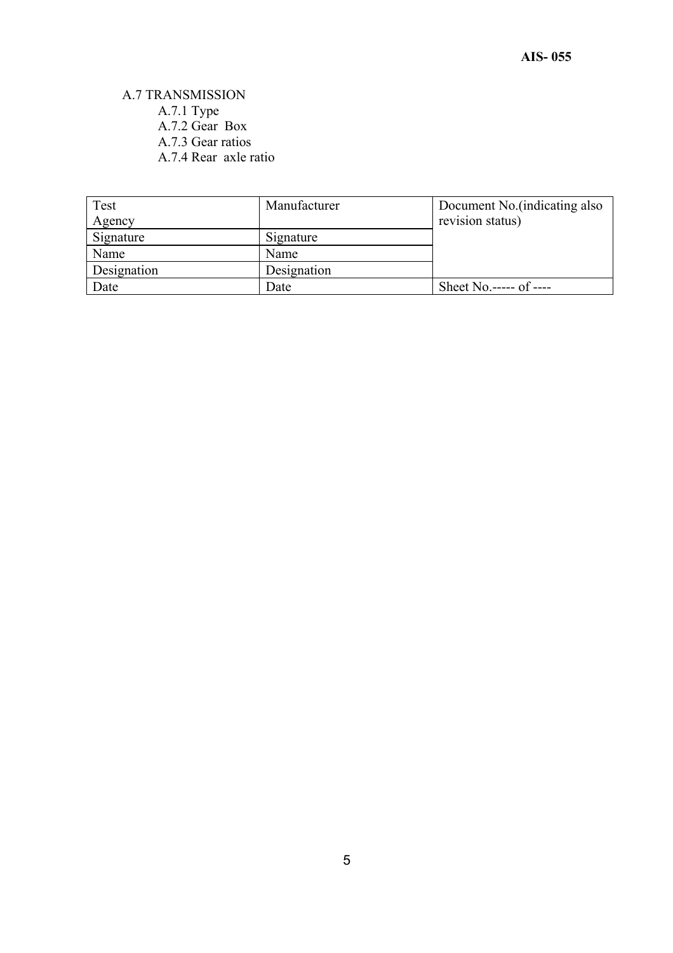A.7 TRANSMISSION A.7.1 Type A.7.2 Gear Box A.7.3 Gear ratios A.7.4 Rear axle ratio

| Test        | Manufacturer | Document No. (indicating also |
|-------------|--------------|-------------------------------|
| Agency      |              | revision status)              |
| Signature   | Signature    |                               |
| Name        | Name         |                               |
| Designation | Designation  |                               |
| Date        | Date         | Sheet $No$ ------ of ----     |